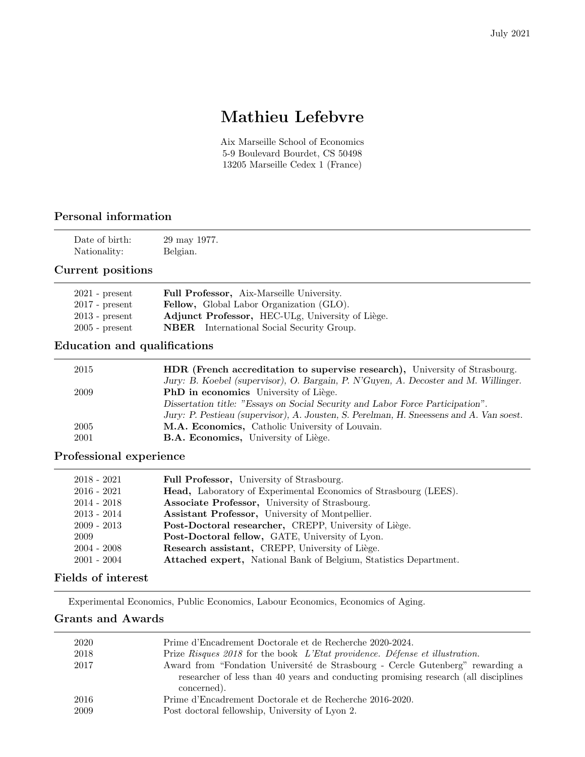# Mathieu Lefebvre

Aix Marseille School of Economics 5-9 Boulevard Bourdet, CS 50498 13205 Marseille Cedex 1 (France)

## Personal information

| Date of birth: | 29 may 1977. |
|----------------|--------------|
| Nationality:   | Belgian.     |

#### Current positions

| $2021$ - present | <b>Full Professor, Aix-Marseille University.</b>         |
|------------------|----------------------------------------------------------|
| $2017$ - present | <b>Fellow</b> , Global Labor Organization <i>(GLO)</i> . |
| $2013$ - present | Adjunct Professor, HEC-ULg, University of Liège.         |
| $2005$ - present | <b>NBER</b> International Social Security Group.         |

## Education and qualifications

| <b>HDR</b> (French accreditation to supervise research), University of Strasbourg.      |
|-----------------------------------------------------------------------------------------|
| Jury: B. Koebel (supervisor), O. Bargain, P. N'Guyen, A. Decoster and M. Willinger.     |
| <b>PhD</b> in economics University of Liège.                                            |
| Dissertation title: "Essays on Social Security and Labor Force Participation".          |
| Jury: P. Pestieau (supervisor), A. Jousten, S. Perelman, H. Sneessens and A. Van soest. |
| M.A. Economics, Catholic University of Louvain.                                         |
| <b>B.A. Economics, University of Liège.</b>                                             |
|                                                                                         |

## Professional experience

| $2018 - 2021$ | Full Professor, University of Strasbourg.                               |
|---------------|-------------------------------------------------------------------------|
| $2016 - 2021$ | <b>Head,</b> Laboratory of Experimental Economics of Strasbourg (LEES). |
| $2014 - 2018$ | Associate Professor, University of Strasbourg.                          |
| $2013 - 2014$ | Assistant Professor, University of Montpellier.                         |
| $2009 - 2013$ | Post-Doctoral researcher, CREPP, University of Liège.                   |
| 2009          | Post-Doctoral fellow, GATE, University of Lyon.                         |
| $2004 - 2008$ | Research assistant, CREPP, University of Liège.                         |
| $2001 - 2004$ | Attached expert, National Bank of Belgium, Statistics Department.       |

## Fields of interest

Experimental Economics, Public Economics, Labour Economics, Economics of Aging.

## Grants and Awards

| 2020 | Prime d'Encadrement Doctorale et de Recherche 2020-2024.                                                                                                              |
|------|-----------------------------------------------------------------------------------------------------------------------------------------------------------------------|
| 2018 | Prize Risques 2018 for the book L'Etat providence. Défense et illustration.                                                                                           |
| 2017 | Award from "Fondation Université de Strasbourg - Cercle Gutenberg" rewarding a<br>researcher of less than 40 years and conducting promising research (all disciplines |
|      | concerned).                                                                                                                                                           |
| 2016 | Prime d'Encadrement Doctorale et de Recherche 2016-2020.                                                                                                              |
| 2009 | Post doctoral fellowship, University of Lyon 2.                                                                                                                       |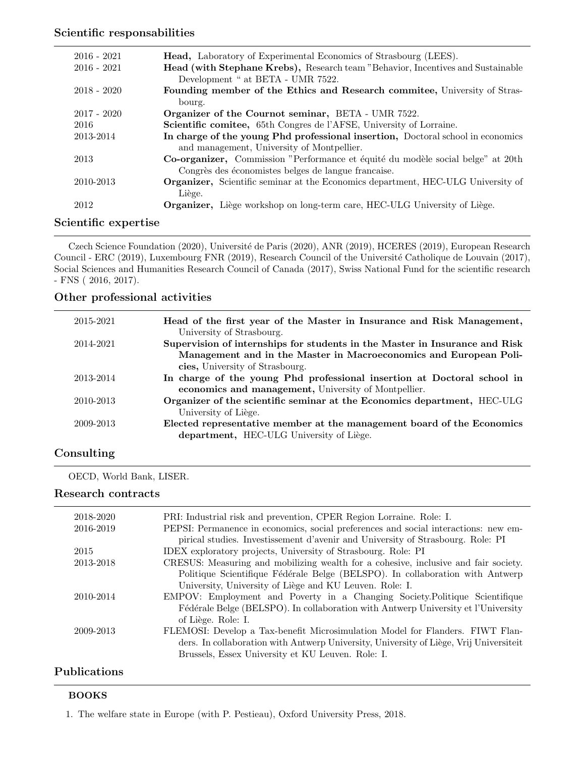#### Scientific responsabilities

| $2016 - 2021$ | <b>Head,</b> Laboratory of Experimental Economics of Strasbourg (LEES).                 |
|---------------|-----------------------------------------------------------------------------------------|
| $2016 - 2021$ | Head (with Stephane Krebs), Research team "Behavior, Incentives and Sustainable         |
|               | Development " at BETA - UMR 7522.                                                       |
| $2018 - 2020$ | Founding member of the Ethics and Research committee, University of Stras-              |
|               | bourg.                                                                                  |
| $2017 - 2020$ | <b>Organizer of the Cournot seminar, BETA - UMR 7522.</b>                               |
| 2016          | Scientific comitee, 65th Congres de l'AFSE, University of Lorraine.                     |
| 2013-2014     | In charge of the young Phd professional insertion, Doctoral school in economics         |
|               | and management, University of Montpellier.                                              |
| 2013          | Co-organizer, Commission "Performance et équité du modèle social belge" at 20th         |
|               | Congrès des économistes belges de langue francaise.                                     |
| 2010-2013     | <b>Organizer,</b> Scientific seminar at the Economics department, HEC-ULG University of |
|               | Liège.                                                                                  |
| 2012          | <b>Organizer,</b> Liège workshop on long-term care, HEC-ULG University of Liège.        |
|               |                                                                                         |

## Scientific expertise

Czech Science Foundation (2020), Université de Paris (2020), ANR (2019), HCERES (2019), European Research Council - ERC (2019), Luxembourg FNR (2019), Research Council of the Université Catholique de Louvain (2017), Social Sciences and Humanities Research Council of Canada (2017), Swiss National Fund for the scientific research - FNS ( 2016, 2017).

#### Other professional activities

| 2015-2021 | Head of the first year of the Master in Insurance and Risk Management,<br>University of Strasbourg.  |
|-----------|------------------------------------------------------------------------------------------------------|
| 2014-2021 | Supervision of internships for students in the Master in Insurance and Risk                          |
|           | Management and in the Master in Macroeconomics and European Poli-<br>cies, University of Strasbourg. |
| 2013-2014 | In charge of the young Phd professional insertion at Doctoral school in                              |
|           | economics and management, University of Montpellier.                                                 |
| 2010-2013 | Organizer of the scientific seminar at the Economics department, HEC-ULG                             |
|           | University of Liège.                                                                                 |
| 2009-2013 | Elected representative member at the management board of the Economics                               |
|           | department, HEC-ULG University of Liège.                                                             |
|           |                                                                                                      |

## Consulting

OECD, World Bank, LISER.

#### Research contracts

| 2018-2020           | PRI: Industrial risk and prevention, CPER Region Lorraine. Role: I.                    |
|---------------------|----------------------------------------------------------------------------------------|
| 2016-2019           | PEPSI: Permanence in economics, social preferences and social interactions: new em-    |
|                     | pirical studies. Investissement d'avenir and University of Strasbourg. Role: PI        |
| 2015                | IDEX exploratory projects, University of Strasbourg. Role: PI                          |
| 2013-2018           | CRESUS: Measuring and mobilizing wealth for a cohesive, inclusive and fair society.    |
|                     | Politique Scientifique Fédérale Belge (BELSPO). In collaboration with Antwerp          |
|                     | University, University of Liège and KU Leuven. Role: I.                                |
| 2010-2014           | EMPOV: Employment and Poverty in a Changing Society. Politique Scientifique            |
|                     | Fédérale Belge (BELSPO). In collaboration with Antwerp University et l'University      |
|                     | of Liège. Role: I.                                                                     |
| 2009-2013           | FLEMOSI: Develop a Tax-benefit Microsimulation Model for Flanders. FIWT Flan-          |
|                     | ders. In collaboration with Antwerp University, University of Liège, Vrij Universiteit |
|                     | Brussels, Essex University et KU Leuven. Role: I.                                      |
| <b>Publications</b> |                                                                                        |

## BOOKS

1. The welfare state in Europe (with P. Pestieau), Oxford University Press, 2018.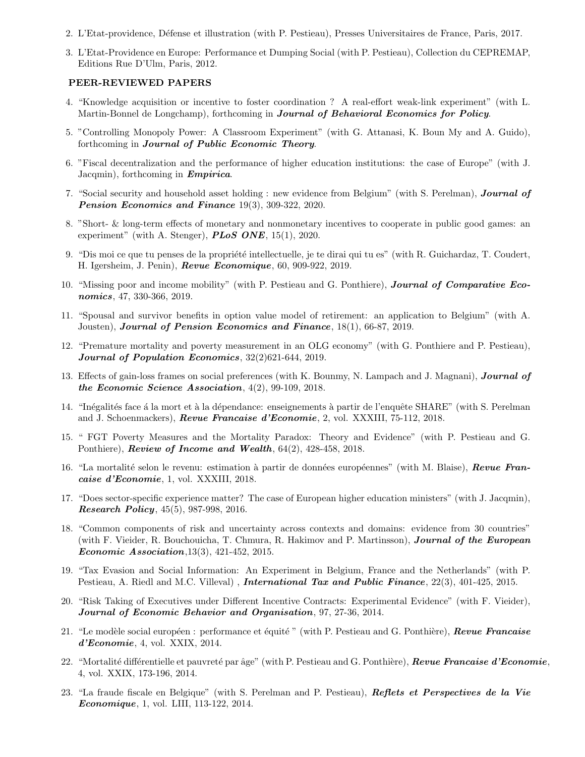- 2. L'Etat-providence, D´efense et illustration (with P. Pestieau), Presses Universitaires de France, Paris, 2017.
- 3. L'Etat-Providence en Europe: Performance et Dumping Social (with P. Pestieau), Collection du CEPREMAP, Editions Rue D'Ulm, Paris, 2012.

#### PEER-REVIEWED PAPERS

- 4. "Knowledge acquisition or incentive to foster coordination ? A real-effort weak-link experiment" (with L. Martin-Bonnel de Longchamp), forthcoming in **Journal of Behavioral Economics for Policy**.
- 5. "Controlling Monopoly Power: A Classroom Experiment" (with G. Attanasi, K. Boun My and A. Guido), forthcoming in Journal of Public Economic Theory.
- 6. "Fiscal decentralization and the performance of higher education institutions: the case of Europe" (with J. Jacqmin), forthcoming in **Empirica**.
- 7. "Social security and household asset holding : new evidence from Belgium" (with S. Perelman), **Journal of** Pension Economics and Finance 19(3), 309-322, 2020.
- 8. "Short- & long-term effects of monetary and nonmonetary incentives to cooperate in public good games: an experiment" (with A. Stenger),  $PLoS$  ONE, 15(1), 2020.
- 9. "Dis moi ce que tu penses de la propriété intellectuelle, je te dirai qui tu es" (with R. Guichardaz, T. Coudert, H. Igersheim, J. Penin), Revue Economique, 60, 909-922, 2019.
- 10. "Missing poor and income mobility" (with P. Pestieau and G. Ponthiere), Journal of Comparative Economics, 47, 330-366, 2019.
- 11. "Spousal and survivor benefits in option value model of retirement: an application to Belgium" (with A. Jousten), Journal of Pension Economics and Finance,  $18(1)$ , 66-87, 2019.
- 12. "Premature mortality and poverty measurement in an OLG economy" (with G. Ponthiere and P. Pestieau), Journal of Population Economics, 32(2)621-644, 2019.
- 13. Effects of gain-loss frames on social preferences (with K. Bounmy, N. Lampach and J. Magnani), **Journal of** the Economic Science Association, 4(2), 99-109, 2018.
- 14. "Inégalités face à la mort et à la dépendance: enseignements à partir de l'enquête SHARE" (with S. Perelman and J. Schoenmackers), Revue Francaise d'Economie, 2, vol. XXXIII, 75-112, 2018.
- 15. " FGT Poverty Measures and the Mortality Paradox: Theory and Evidence" (with P. Pestieau and G. Ponthiere), **Review of Income and Wealth**,  $64(2)$ ,  $428-458$ ,  $2018$ .
- 16. "La mortalité selon le revenu: estimation à partir de données européennes" (with M. Blaise), Revue Francaise d'Economie, 1, vol. XXXIII, 2018.
- 17. "Does sector-specific experience matter? The case of European higher education ministers" (with J. Jacqmin), Research Policy, 45(5), 987-998, 2016.
- 18. "Common components of risk and uncertainty across contexts and domains: evidence from 30 countries" (with F. Vieider, R. Bouchouicha, T. Chmura, R. Hakimov and P. Martinsson), **Journal of the European** *Economic Association*,  $13(3)$ ,  $421-452$ ,  $2015$ .
- 19. "Tax Evasion and Social Information: An Experiment in Belgium, France and the Netherlands" (with P. Pestieau, A. Riedl and M.C. Villeval), *International Tax and Public Finance*, 22(3), 401-425, 2015.
- 20. "Risk Taking of Executives under Different Incentive Contracts: Experimental Evidence" (with F. Vieider), Journal of Economic Behavior and Organisation, 97, 27-36, 2014.
- 21. "Le modèle social européen : performance et équité " (with P. Pestieau and G. Ponthière), Revue Francaise  $d'Economic$ , 4, vol. XXIX, 2014.
- 22. "Mortalité différentielle et pauvreté par âge" (with P. Pestieau and G. Ponthière), Revue Francaise d'Economie, 4, vol. XXIX, 173-196, 2014.
- 23. "La fraude fiscale en Belgique" (with S. Perelman and P. Pestieau), Reflets et Perspectives de la Vie Economique, 1, vol. LIII, 113-122, 2014.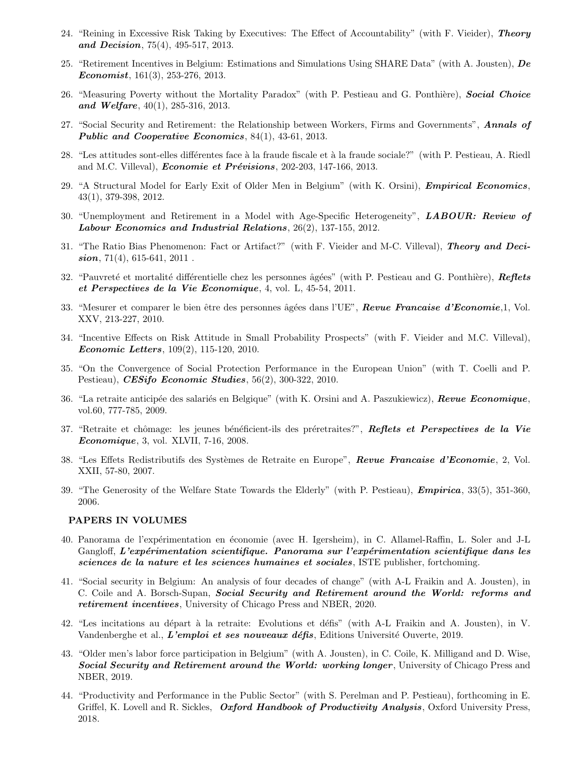- 24. "Reining in Excessive Risk Taking by Executives: The Effect of Accountability" (with F. Vieider), Theory and Decision, 75(4), 495-517, 2013.
- 25. "Retirement Incentives in Belgium: Estimations and Simulations Using SHARE Data" (with A. Jousten), De Economist,  $161(3)$ ,  $253-276$ ,  $2013$ .
- 26. "Measuring Poverty without the Mortality Paradox" (with P. Pestieau and G. Ponthière), Social Choice and Welfare,  $40(1)$ ,  $285-316$ ,  $2013$ .
- 27. "Social Security and Retirement: the Relationship between Workers, Firms and Governments", Annals of Public and Cooperative Economics, 84(1), 43-61, 2013.
- 28. "Les attitudes sont-elles différentes face à la fraude fiscale et à la fraude sociale?" (with P. Pestieau, A. Riedl and M.C. Villeval), *Economie et Prévisions*, 202-203, 147-166, 2013.
- 29. "A Structural Model for Early Exit of Older Men in Belgium" (with K. Orsini), *Empirical Economics*, 43(1), 379-398, 2012.
- 30. "Unemployment and Retirement in a Model with Age-Specific Heterogeneity", LABOUR: Review of Labour Economics and Industrial Relations, 26(2), 137-155, 2012.
- 31. "The Ratio Bias Phenomenon: Fact or Artifact?" (with F. Vieider and M-C. Villeval), Theory and Deci $sion$ , 71(4), 615-641, 2011.
- 32. "Pauvreté et mortalité différentielle chez les personnes âgées" (with P. Pestieau and G. Ponthière), Reflets et Perspectives de la Vie Economique, 4, vol. L, 45-54, 2011.
- 33. "Mesurer et comparer le bien être des personnes âgées dans l'UE", Revue Francaise d'Economie, 1, Vol. XXV, 213-227, 2010.
- 34. "Incentive Effects on Risk Attitude in Small Probability Prospects" (with F. Vieider and M.C. Villeval), Economic Letters, 109(2), 115-120, 2010.
- 35. "On the Convergence of Social Protection Performance in the European Union" (with T. Coelli and P. Pestieau), *CESifo Economic Studies*, 56(2), 300-322, 2010.
- 36. "La retraite anticipée des salariés en Belgique" (with K. Orsini and A. Paszukiewicz), Revue Economique, vol.60, 777-785, 2009.
- 37. "Retraite et chômage: les jeunes bénéficient-ils des préretraites?", Reflets et Perspectives de la Vie Economique, 3, vol. XLVII, 7-16, 2008.
- 38. "Les Effets Redistributifs des Systèmes de Retraite en Europe", Revue Francaise d'Economie, 2, Vol. XXII, 57-80, 2007.
- 39. "The Generosity of the Welfare State Towards the Elderly" (with P. Pestieau), Empirica, 33(5), 351-360, 2006.

#### PAPERS IN VOLUMES

- 40. Panorama de l'exp´erimentation en ´economie (avec H. Igersheim), in C. Allamel-Raffin, L. Soler and J-L  $Gangloff, L'experimentation scientific que. Panorama sur l'expérimentation scientific que dans les$ sciences de la nature et les sciences humaines et sociales, ISTE publisher, fortchoming.
- 41. "Social security in Belgium: An analysis of four decades of change" (with A-L Fraikin and A. Jousten), in C. Coile and A. Borsch-Supan, Social Security and Retirement around the World: reforms and retirement incentives, University of Chicago Press and NBER, 2020.
- 42. "Les incitations au départ à la retraite: Evolutions et défis" (with A-L Fraikin and A. Jousten), in V. Vandenberghe et al., L'emploi et ses nouveaux défis, Editions Université Ouverte, 2019.
- 43. "Older men's labor force participation in Belgium" (with A. Jousten), in C. Coile, K. Milligand and D. Wise, **Social Security and Retirement around the World: working longer**, University of Chicago Press and NBER, 2019.
- 44. "Productivity and Performance in the Public Sector" (with S. Perelman and P. Pestieau), forthcoming in E. Griffel, K. Lovell and R. Sickles, Oxford Handbook of Productivity Analysis, Oxford University Press, 2018.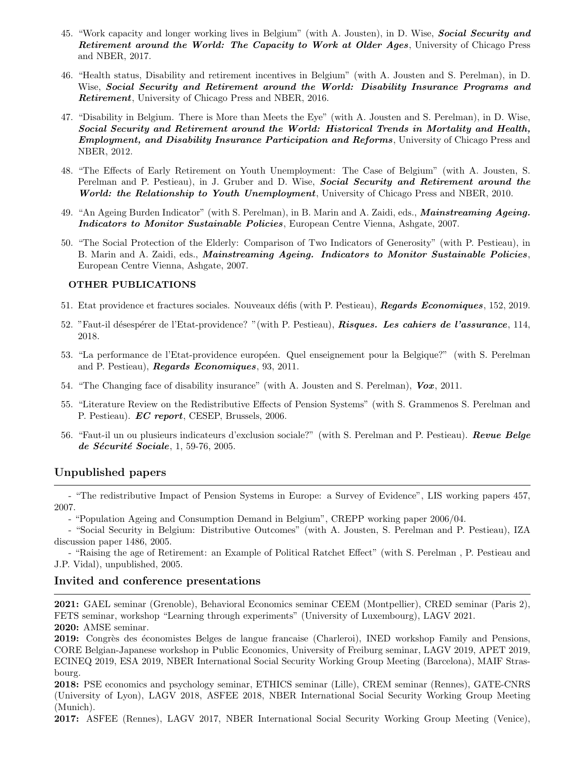- 45. "Work capacity and longer working lives in Belgium" (with A. Jousten), in D. Wise, **Social Security and** Retirement around the World: The Capacity to Work at Older Ages, University of Chicago Press and NBER, 2017.
- 46. "Health status, Disability and retirement incentives in Belgium" (with A. Jousten and S. Perelman), in D. Wise, Social Security and Retirement around the World: Disability Insurance Programs and Retirement, University of Chicago Press and NBER, 2016.
- 47. "Disability in Belgium. There is More than Meets the Eye" (with A. Jousten and S. Perelman), in D. Wise, Social Security and Retirement around the World: Historical Trends in Mortality and Health, **Employment, and Disability Insurance Participation and Reforms**, University of Chicago Press and NBER, 2012.
- 48. "The Effects of Early Retirement on Youth Unemployment: The Case of Belgium" (with A. Jousten, S. Perelman and P. Pestieau), in J. Gruber and D. Wise, Social Security and Retirement around the World: the Relationship to Youth Unemployment, University of Chicago Press and NBER, 2010.
- 49. "An Ageing Burden Indicator" (with S. Perelman), in B. Marin and A. Zaidi, eds., Mainstreaming Ageing. Indicators to Monitor Sustainable Policies, European Centre Vienna, Ashgate, 2007.
- 50. "The Social Protection of the Elderly: Comparison of Two Indicators of Generosity" (with P. Pestieau), in B. Marin and A. Zaidi, eds., *Mainstreaming Ageing. Indicators to Monitor Sustainable Policies*, European Centre Vienna, Ashgate, 2007.

#### OTHER PUBLICATIONS

- 51. Etat providence et fractures sociales. Nouveaux défis (with P. Pestieau), Regards Economiques, 152, 2019.
- 52. "Faut-il désespérer de l'Etat-providence? "(with P. Pestieau), Risques. Les cahiers de l'assurance, 114, 2018.
- 53. "La performance de l'Etat-providence européen. Quel enseignement pour la Belgique?" (with S. Perelman and P. Pestieau), Regards Economiques, 93, 2011.
- 54. "The Changing face of disability insurance" (with A. Jousten and S. Perelman), Vox, 2011.
- 55. "Literature Review on the Redistributive Effects of Pension Systems" (with S. Grammenos S. Perelman and P. Pestieau). EC report, CESEP, Brussels, 2006.
- 56. "Faut-il un ou plusieurs indicateurs d'exclusion sociale?" (with S. Perelman and P. Pestieau). Revue Belge de Sécurité Sociale, 1, 59-76, 2005.

## Unpublished papers

- "The redistributive Impact of Pension Systems in Europe: a Survey of Evidence", LIS working papers 457, 2007.

- "Population Ageing and Consumption Demand in Belgium", CREPP working paper 2006/04.

- "Social Security in Belgium: Distributive Outcomes" (with A. Jousten, S. Perelman and P. Pestieau), IZA discussion paper 1486, 2005.

- "Raising the age of Retirement: an Example of Political Ratchet Effect" (with S. Perelman , P. Pestieau and J.P. Vidal), unpublished, 2005.

#### Invited and conference presentations

2021: GAEL seminar (Grenoble), Behavioral Economics seminar CEEM (Montpellier), CRED seminar (Paris 2), FETS seminar, workshop "Learning through experiments" (University of Luxembourg), LAGV 2021. 2020: AMSE seminar.

2019: Congrès des économistes Belges de langue francaise (Charleroi), INED workshop Family and Pensions, CORE Belgian-Japanese workshop in Public Economics, University of Freiburg seminar, LAGV 2019, APET 2019, ECINEQ 2019, ESA 2019, NBER International Social Security Working Group Meeting (Barcelona), MAIF Strasbourg.

2018: PSE economics and psychology seminar, ETHICS seminar (Lille), CREM seminar (Rennes), GATE-CNRS (University of Lyon), LAGV 2018, ASFEE 2018, NBER International Social Security Working Group Meeting (Munich).

2017: ASFEE (Rennes), LAGV 2017, NBER International Social Security Working Group Meeting (Venice),